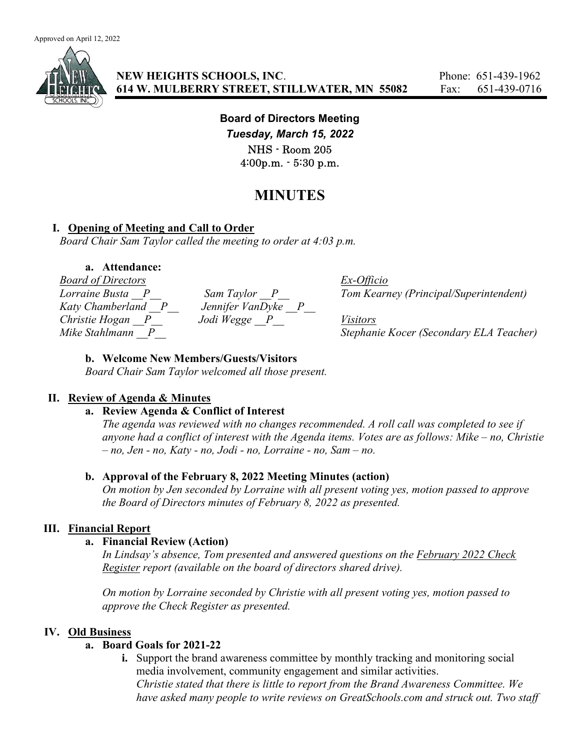

Board of Directors Meeting Tuesday, March 15, 2022 NHS - Room 205 4:00p.m. - 5:30 p.m.

# MINUTES

# I. Opening of Meeting and Call to Order

Board Chair Sam Taylor called the meeting to order at 4:03 p.m.

#### a. Attendance:

Board of Directors Ex-Officio Lorraine Busta P Sam Taylor P Tom Kearney (Principal/Superintendent) Katy Chamberland  $P$  Jennifer VanDyke P Christie Hogan P Jodi Wegge P Visitors Mike Stahlmann  $\Box P$  Stephanie Kocer (Secondary ELA Teacher)

## b. Welcome New Members/Guests/Visitors

Board Chair Sam Taylor welcomed all those present.

# II. Review of Agenda & Minutes

# a. Review Agenda & Conflict of Interest

The agenda was reviewed with no changes recommended. A roll call was completed to see if anyone had a conflict of interest with the Agenda items. Votes are as follows: Mike – no, Christie  $- no$ , Jen - no, Katy - no, Jodi - no, Lorraine - no, Sam - no.

# b. Approval of the February 8, 2022 Meeting Minutes (action)

On motion by Jen seconded by Lorraine with all present voting yes, motion passed to approve the Board of Directors minutes of February 8, 2022 as presented.

# III. Financial Report

## a. Financial Review (Action)

In Lindsay's absence, Tom presented and answered questions on the February 2022 Check Register report (available on the board of directors shared drive).

On motion by Lorraine seconded by Christie with all present voting yes, motion passed to approve the Check Register as presented.

#### IV. Old Business

# a. Board Goals for 2021-22

i. Support the brand awareness committee by monthly tracking and monitoring social media involvement, community engagement and similar activities. Christie stated that there is little to report from the Brand Awareness Committee. We have asked many people to write reviews on GreatSchools.com and struck out. Two staff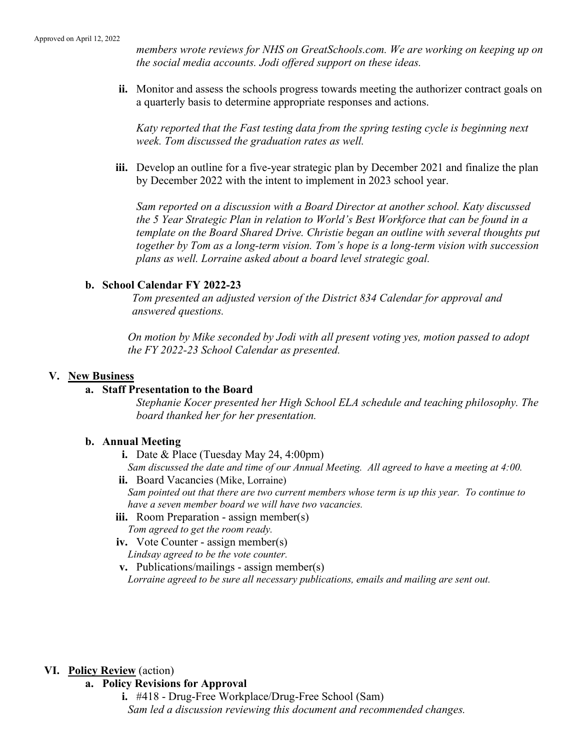members wrote reviews for NHS on GreatSchools.com. We are working on keeping up on the social media accounts. Jodi offered support on these ideas.

ii. Monitor and assess the schools progress towards meeting the authorizer contract goals on a quarterly basis to determine appropriate responses and actions.

Katy reported that the Fast testing data from the spring testing cycle is beginning next week. Tom discussed the graduation rates as well.

iii. Develop an outline for a five-year strategic plan by December 2021 and finalize the plan by December 2022 with the intent to implement in 2023 school year.

Sam reported on a discussion with a Board Director at another school. Katy discussed the 5 Year Strategic Plan in relation to World's Best Workforce that can be found in a template on the Board Shared Drive. Christie began an outline with several thoughts put together by Tom as a long-term vision. Tom's hope is a long-term vision with succession plans as well. Lorraine asked about a board level strategic goal.

#### b. School Calendar FY 2022-23

Tom presented an adjusted version of the District 834 Calendar for approval and answered questions.

On motion by Mike seconded by Jodi with all present voting yes, motion passed to adopt the FY 2022-23 School Calendar as presented.

#### V. New Business

#### a. Staff Presentation to the Board

Stephanie Kocer presented her High School ELA schedule and teaching philosophy. The board thanked her for her presentation.

#### b. Annual Meeting

- i. Date & Place (Tuesday May 24, 4:00pm)
- Sam discussed the date and time of our Annual Meeting. All agreed to have a meeting at 4:00.
- ii. Board Vacancies (Mike, Lorraine) Sam pointed out that there are two current members whose term is up this year. To continue to have a seven member board we will have two vacancies.
- iii. Room Preparation assign member(s) Tom agreed to get the room ready.
- iv. Vote Counter assign member(s) Lindsay agreed to be the vote counter.
- v. Publications/mailings assign member(s) Lorraine agreed to be sure all necessary publications, emails and mailing are sent out.

#### VI. Policy Review (action)

- a. Policy Revisions for Approval
	- i. #418 Drug-Free Workplace/Drug-Free School (Sam) Sam led a discussion reviewing this document and recommended changes.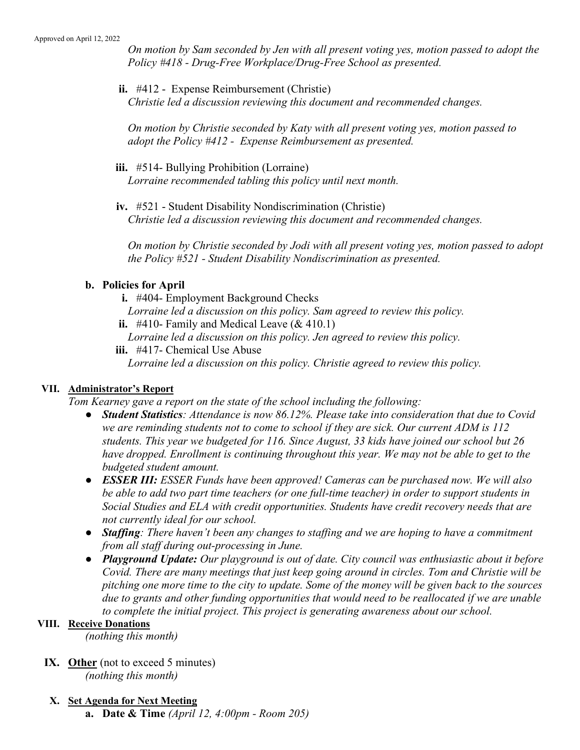On motion by Sam seconded by Jen with all present voting yes, motion passed to adopt the Policy #418 - Drug-Free Workplace/Drug-Free School as presented.

ii. #412 - Expense Reimbursement (Christie) Christie led a discussion reviewing this document and recommended changes.

On motion by Christie seconded by Katy with all present voting yes, motion passed to adopt the Policy #412 - Expense Reimbursement as presented.

- iii. #514- Bullying Prohibition (Lorraine) Lorraine recommended tabling this policy until next month.
- iv. #521 Student Disability Nondiscrimination (Christie) Christie led a discussion reviewing this document and recommended changes.

On motion by Christie seconded by Jodi with all present voting yes, motion passed to adopt the Policy #521 - Student Disability Nondiscrimination as presented.

## b. Policies for April

- i. #404- Employment Background Checks
- Lorraine led a discussion on this policy. Sam agreed to review this policy.
- ii. #410- Family and Medical Leave  $(\& 410.1)$
- Lorraine led a discussion on this policy. Jen agreed to review this policy.
- iii. #417- Chemical Use Abuse

Lorraine led a discussion on this policy. Christie agreed to review this policy.

#### VII. Administrator's Report

Tom Kearney gave a report on the state of the school including the following:

- Student Statistics: Attendance is now 86.12%. Please take into consideration that due to Covid we are reminding students not to come to school if they are sick. Our current ADM is 112 students. This year we budgeted for 116. Since August, 33 kids have joined our school but 26 have dropped. Enrollment is continuing throughout this year. We may not be able to get to the budgeted student amount.
- ESSER III: ESSER Funds have been approved! Cameras can be purchased now. We will also be able to add two part time teachers (or one full-time teacher) in order to support students in Social Studies and ELA with credit opportunities. Students have credit recovery needs that are not currently ideal for our school.
- Staffing: There haven't been any changes to staffing and we are hoping to have a commitment from all staff during out-processing in June.
- Playground Update: Our playground is out of date. City council was enthusiastic about it before Covid. There are many meetings that just keep going around in circles. Tom and Christie will be pitching one more time to the city to update. Some of the money will be given back to the sources due to grants and other funding opportunities that would need to be reallocated if we are unable to complete the initial project. This project is generating awareness about our school.

#### VIII. Receive Donations

(nothing this month)

- IX. Other (not to exceed 5 minutes) (nothing this month)
- X. Set Agenda for Next Meeting a. Date & Time (April 12,  $4:00pm$  - Room 205)